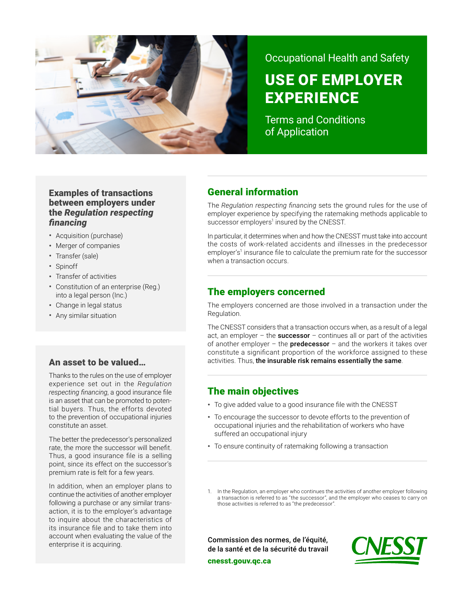

# Occupational Health and Safety

# USE OF EMPLOYER EXPERIENCE

Terms and Conditions of Application

# Examples of transactions between employers under the *Regulation respecting financing*

- Acquisition (purchase)
- Merger of companies
- Transfer (sale)
- Spinoff
- Transfer of activities
- Constitution of an enterprise (Reg.) into a legal person (Inc.)
- Change in legal status
- Any similar situation

## An asset to be valued…

Thanks to the rules on the use of employer experience set out in the *Regulation respecting financing*, a good insurance file is an asset that can be promoted to potential buyers. Thus, the efforts devoted to the prevention of occupational injuries constitute an asset.

The better the predecessor's personalized rate, the more the successor will benefit. Thus, a good insurance file is a selling point, since its effect on the successor's premium rate is felt for a few years.

In addition, when an employer plans to continue the activities of another employer following a purchase or any similar transaction, it is to the employer's advantage to inquire about the characteristics of its insurance file and to take them into account when evaluating the value of the enterprise it is acquiring.

# General information

The *Regulation respecting financing* sets the ground rules for the use of employer experience by specifying the ratemaking methods applicable to successor employers<sup>1</sup> insured by the CNESST.

In particular, it determines when and how the CNESST must take into account the costs of work-related accidents and illnesses in the predecessor employer's<sup>1</sup> insurance file to calculate the premium rate for the successor when a transaction occurs.

# The employers concerned

The employers concerned are those involved in a transaction under the Regulation.

The CNESST considers that a transaction occurs when, as a result of a legal act, an employer – the successor – continues all or part of the activities of another employer – the **predecessor** – and the workers it takes over constitute a significant proportion of the workforce assigned to these activities. Thus, the insurable risk remains essentially the same.

# The main objectives

- To give added value to a good insurance file with the CNESST
- To encourage the successor to devote efforts to the prevention of occupational injuries and the rehabilitation of workers who have suffered an occupational injury
- To ensure continuity of ratemaking following a transaction

1. In the Regulation, an employer who continues the activities of another employer following a transaction is referred to as "the successor", and the employer who ceases to carry on those activities is referred to as "the predecessor".

Commission des normes, de l'équité, de la santé et de la sécurité du travail



[cnesst.gouv.qc.ca](https://www.cnesst.gouv.qc.ca)